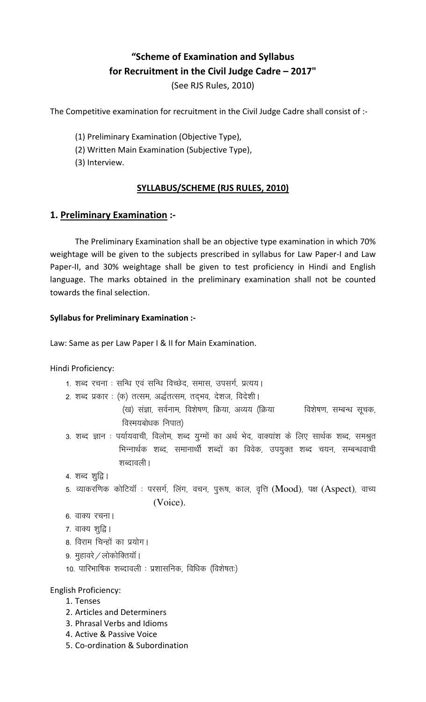# "Scheme of Examination and Syllabus for Recruitment in the Civil Judge Cadre – 2017"

(See RJS Rules, 2010)

The Competitive examination for recruitment in the Civil Judge Cadre shall consist of :-

(1) Preliminary Examination (Objective Type),

- (2) Written Main Examination (Subjective Type),
- (3) Interview.

# SYLLABUS/SCHEME (RJS RULES, 2010)

## 1. Preliminary Examination :-

The Preliminary Examination shall be an objective type examination in which 70% weightage will be given to the subjects prescribed in syllabus for Law Paper-I and Law Paper-II, and 30% weightage shall be given to test proficiency in Hindi and English language. The marks obtained in the preliminary examination shall not be counted towards the final selection.

### Syllabus for Preliminary Examination :-

Law: Same as per Law Paper I & II for Main Examination.

Hindi Proficiency:

- 1. शब्द रचना : सन्धि एवं सन्धि विच्छेद, समास, उपसर्ग, प्रत्यय।
- 2. शब्द प्रकार: (क) तत्सम, अर्द्धतत्सम, तद्भव, देशज, विदेशी।
	- (ख) संज्ञा, सर्वनाम, विशेषण, क्रिया, अव्यय (क्रिया विशेषण, सम्बन्ध सूचक, विस्मयबोधक निपात)
- 3. शब्द ज्ञान : पर्यायवाची, विलोम, शब्द युग्मों का अर्थ भेद, वाक्यांश के लिए सार्थक शब्द, समश्रुत भिन्नार्थक शब्द, समानार्थी शब्दों का विवेक, उपयुक्त शब्द चयन, सम्बन्धवाची शब्दावली।

```
4. शब्द शूद्वि ।
```
5. व्याकरणिक कोटियॉ : परसर्ग, लिंग, वचन, पुरूष, काल, वृत्ति (Mood), पक्ष (Aspect), वाच्य (Voice).

```
6. वाक्य रचना।
```

```
7. वाक्य शूद्वि।
```
- 8. विराम चिन्हों का प्रयोग।
- 9. मुहावरे $\sqrt{a}$ लोकोक्तियाँ ।
- 10. पारिभाषिक शब्दावली : प्रशासनिक, विधिक (विशेषतः)

English Proficiency:

- 1. Tenses
- 2. Articles and Determiners
- 3. Phrasal Verbs and Idioms
- 4. Active & Passive Voice
- 5. Co-ordination & Subordination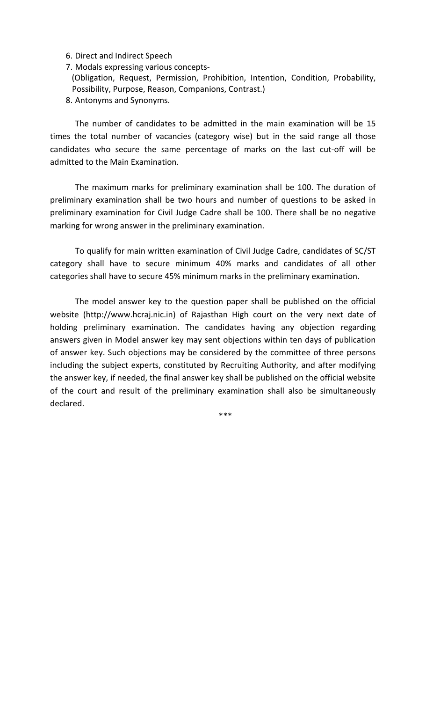- 6. Direct and Indirect Speech
- 7. Modals expressing various concepts-
- (Obligation, Request, Permission, Prohibition, Intention, Condition, Probability, Possibility, Purpose, Reason, Companions, Contrast.)
- 8. Antonyms and Synonyms.

 The number of candidates to be admitted in the main examination will be 15 times the total number of vacancies (category wise) but in the said range all those candidates who secure the same percentage of marks on the last cut-off will be admitted to the Main Examination.

The maximum marks for preliminary examination shall be 100. The duration of preliminary examination shall be two hours and number of questions to be asked in preliminary examination for Civil Judge Cadre shall be 100. There shall be no negative marking for wrong answer in the preliminary examination.

To qualify for main written examination of Civil Judge Cadre, candidates of SC/ST category shall have to secure minimum 40% marks and candidates of all other categories shall have to secure 45% minimum marks in the preliminary examination.

The model answer key to the question paper shall be published on the official website (http://www.hcraj.nic.in) of Rajasthan High court on the very next date of holding preliminary examination. The candidates having any objection regarding answers given in Model answer key may sent objections within ten days of publication of answer key. Such objections may be considered by the committee of three persons including the subject experts, constituted by Recruiting Authority, and after modifying the answer key, if needed, the final answer key shall be published on the official website of the court and result of the preliminary examination shall also be simultaneously declared.

\*\*\*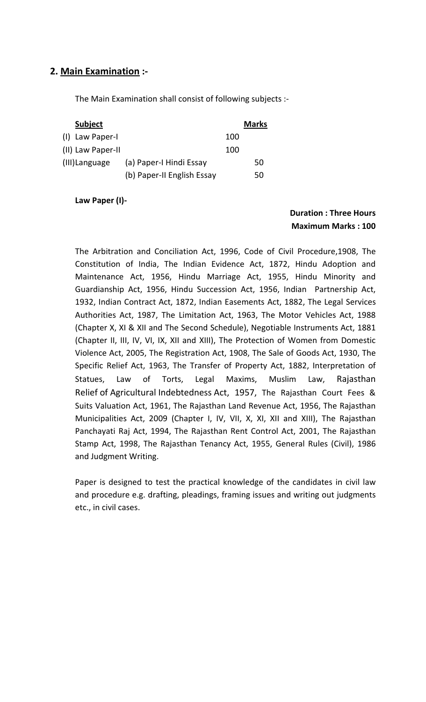# 2. Main Examination :-

The Main Examination shall consist of following subjects :-

| <b>Subject</b>    |                            |     | <b>Marks</b> |
|-------------------|----------------------------|-----|--------------|
| (I) Law Paper-I   |                            | 100 |              |
| (II) Law Paper-II |                            | 100 |              |
| (III) Language    | (a) Paper-I Hindi Essay    |     | 50           |
|                   | (b) Paper-II English Essay |     | 50           |

Law Paper (I)-

# Duration : Three Hours Maximum Marks : 100

The Arbitration and Conciliation Act, 1996, Code of Civil Procedure,1908, The Constitution of India, The Indian Evidence Act, 1872, Hindu Adoption and Maintenance Act, 1956, Hindu Marriage Act, 1955, Hindu Minority and Guardianship Act, 1956, Hindu Succession Act, 1956, Indian Partnership Act, 1932, Indian Contract Act, 1872, Indian Easements Act, 1882, The Legal Services Authorities Act, 1987, The Limitation Act, 1963, The Motor Vehicles Act, 1988 (Chapter X, XI & XII and The Second Schedule), Negotiable Instruments Act, 1881 (Chapter II, III, IV, VI, IX, XII and XIII), The Protection of Women from Domestic Violence Act, 2005, The Registration Act, 1908, The Sale of Goods Act, 1930, The Specific Relief Act, 1963, The Transfer of Property Act, 1882, Interpretation of Statues, Law of Torts, Legal Maxims, Muslim Law, Rajasthan Relief of Agricultural Indebtedness Act, 1957, The Rajasthan Court Fees & Suits Valuation Act, 1961, The Rajasthan Land Revenue Act, 1956, The Rajasthan Municipalities Act, 2009 (Chapter I, IV, VII, X, XI, XII and XIII), The Rajasthan Panchayati Raj Act, 1994, The Rajasthan Rent Control Act, 2001, The Rajasthan Stamp Act, 1998, The Rajasthan Tenancy Act, 1955, General Rules (Civil), 1986 and Judgment Writing.

Paper is designed to test the practical knowledge of the candidates in civil law and procedure e.g. drafting, pleadings, framing issues and writing out judgments etc., in civil cases.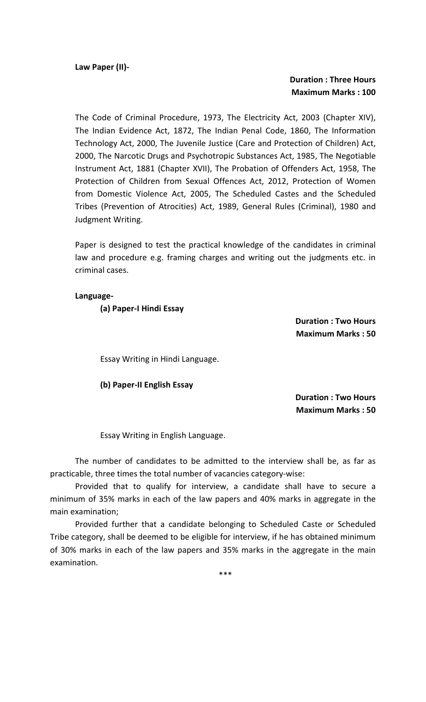Law Paper (II)-

### Duration : Three Hours Maximum Marks : 100

The Code of Criminal Procedure, 1973, The Electricity Act, 2003 (Chapter XIV), The Indian Evidence Act, 1872, The Indian Penal Code, 1860, The Information Technology Act, 2000, The Juvenile Justice (Care and Protection of Children) Act, 2000, The Narcotic Drugs and Psychotropic Substances Act, 1985, The Negotiable Instrument Act, 1881 (Chapter XVII), The Probation of Offenders Act, 1958, The Protection of Children from Sexual Offences Act, 2012, Protection of Women from Domestic Violence Act, 2005, The Scheduled Castes and the Scheduled Tribes (Prevention of Atrocities) Act, 1989, General Rules (Criminal), 1980 and Judgment Writing.

Paper is designed to test the practical knowledge of the candidates in criminal law and procedure e.g. framing charges and writing out the judgments etc. in criminal cases.

#### Language-

(a) Paper-I Hindi Essay

Duration : Two Hours Maximum Marks : 50

Essay Writing in Hindi Language.

#### (b) Paper-II English Essay

Duration : Two Hours Maximum Marks : 50

Essay Writing in English Language.

 The number of candidates to be admitted to the interview shall be, as far as practicable, three times the total number of vacancies category-wise:

Provided that to qualify for interview, a candidate shall have to secure a minimum of 35% marks in each of the law papers and 40% marks in aggregate in the main examination;

Provided further that a candidate belonging to Scheduled Caste or Scheduled Tribe category, shall be deemed to be eligible for interview, if he has obtained minimum of 30% marks in each of the law papers and 35% marks in the aggregate in the main examination.

\*\*\*